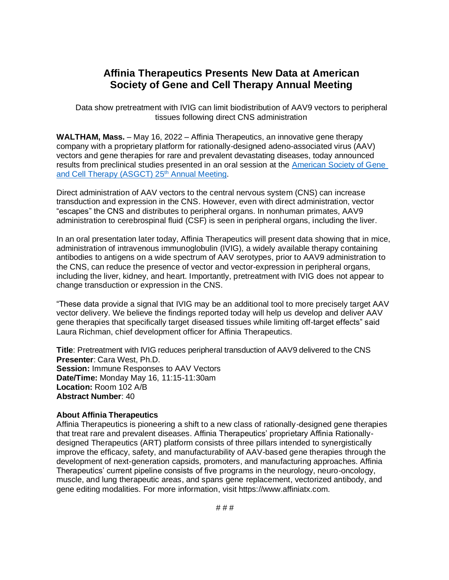## **Affinia Therapeutics Presents New Data at American Society of Gene and Cell Therapy Annual Meeting**

Data show pretreatment with IVIG can limit biodistribution of AAV9 vectors to peripheral tissues following direct CNS administration

**WALTHAM, Mass.** – May 16, 2022 – Affinia Therapeutics, an innovative gene therapy company with a proprietary platform for rationally-designed adeno-associated virus (AAV) vectors and gene therapies for rare and prevalent devastating diseases, today announced results from preclinical studies presented in an oral session at the [American Society of Gene](https://annualmeeting.asgct.org/)  [and Cell Therapy](https://annualmeeting.asgct.org/) (ASGCT) 25<sup>th</sup> [Annual Meeting.](https://annualmeeting.asgct.org/)

Direct administration of AAV vectors to the central nervous system (CNS) can increase transduction and expression in the CNS. However, even with direct administration, vector "escapes" the CNS and distributes to peripheral organs. In nonhuman primates, AAV9 administration to cerebrospinal fluid (CSF) is seen in peripheral organs, including the liver.

In an oral presentation later today, Affinia Therapeutics will present data showing that in mice, administration of intravenous immunoglobulin (IVIG), a widely available therapy containing antibodies to antigens on a wide spectrum of AAV serotypes, prior to AAV9 administration to the CNS, can reduce the presence of vector and vector-expression in peripheral organs, including the liver, kidney, and heart. Importantly, pretreatment with IVIG does not appear to change transduction or expression in the CNS.

"These data provide a signal that IVIG may be an additional tool to more precisely target AAV vector delivery. We believe the findings reported today will help us develop and deliver AAV gene therapies that specifically target diseased tissues while limiting off-target effects" said Laura Richman, chief development officer for Affinia Therapeutics.

**Title**: Pretreatment with IVIG reduces peripheral transduction of AAV9 delivered to the CNS **Presenter**: Cara West, Ph.D. **Session:** Immune Responses to AAV Vectors **Date/Time:** Monday May 16, 11:15-11:30am **Location:** Room 102 A/B **Abstract Number**: 40

## **About Affinia Therapeutics**

Affinia Therapeutics is pioneering a shift to a new class of rationally-designed gene therapies that treat rare and prevalent diseases. Affinia Therapeutics' proprietary Affinia Rationallydesigned Therapeutics (ART) platform consists of three pillars intended to synergistically improve the efficacy, safety, and manufacturability of AAV-based gene therapies through the development of next-generation capsids, promoters, and manufacturing approaches. Affinia Therapeutics' current pipeline consists of five programs in the neurology, neuro-oncology, muscle, and lung therapeutic areas, and spans gene replacement, vectorized antibody, and gene editing modalities. For more information, visit https://www.affiniatx.com.